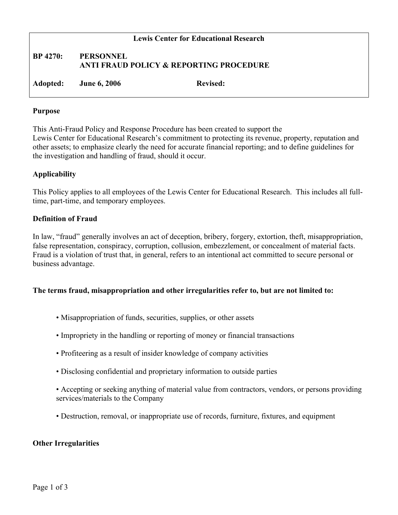## **Lewis Center for Educational Research**

## **BP 4270: PERSONNEL ANTI FRAUD POLICY & REPORTING PROCEDURE**

**Adopted: June 6, 2006 Revised:**

#### **Purpose**

This Anti-Fraud Policy and Response Procedure has been created to support the Lewis Center for Educational Research's commitment to protecting its revenue, property, reputation and other assets; to emphasize clearly the need for accurate financial reporting; and to define guidelines for the investigation and handling of fraud, should it occur.

## **Applicability**

This Policy applies to all employees of the Lewis Center for Educational Research. This includes all fulltime, part-time, and temporary employees.

## **Definition of Fraud**

In law, "fraud" generally involves an act of deception, bribery, forgery, extortion, theft, misappropriation, false representation, conspiracy, corruption, collusion, embezzlement, or concealment of material facts. Fraud is a violation of trust that, in general, refers to an intentional act committed to secure personal or business advantage.

## **The terms fraud, misappropriation and other irregularities refer to, but are not limited to:**

- Misappropriation of funds, securities, supplies, or other assets
- Impropriety in the handling or reporting of money or financial transactions
- Profiteering as a result of insider knowledge of company activities
- Disclosing confidential and proprietary information to outside parties
- Accepting or seeking anything of material value from contractors, vendors, or persons providing services/materials to the Company
- Destruction, removal, or inappropriate use of records, furniture, fixtures, and equipment

## **Other Irregularities**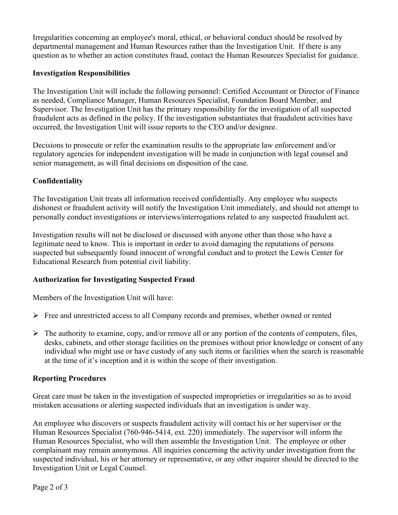Irregularities concerning an employee's moral, ethical, or behavioral conduct should be resolved by departmental management and Human Resources rather than the Investigation Unit. If there is any question as to whether an action constitutes fraud, contact the Human Resources Specialist for guidance.

## **Investigation Responsibilities**

The Investigation Unit will include the following personnel: Certified Accountant or Director of Finance as needed, Compliance Manager, Human Resources Specialist, Foundation Board Member, and Supervisor. The Investigation Unit has the primary responsibility for the investigation of all suspected fraudulent acts as defined in the policy. If the investigation substantiates that fraudulent activities have occurred, the Investigation Unit will issue reports to the CEO and/or designee.

Decisions to prosecute or refer the examination results to the appropriate law enforcement and/or regulatory agencies for independent investigation will be made in conjunction with legal counsel and senior management, as will final decisions on disposition of the case.

# **Confidentiality**

The Investigation Unit treats all information received confidentially. Any employee who suspects dishonest or fraudulent activity will notify the Investigation Unit immediately, and should not attempt to personally conduct investigations or interviews/interrogations related to any suspected fraudulent act.

Investigation results will not be disclosed or discussed with anyone other than those who have a legitimate need to know. This is important in order to avoid damaging the reputations of persons suspected but subsequently found innocent of wrongful conduct and to protect the Lewis Center for Educational Research from potential civil liability.

# **Authorization for Investigating Suspected Fraud**

Members of the Investigation Unit will have:

- $\triangleright$  Free and unrestricted access to all Company records and premises, whether owned or rented
- $\triangleright$  The authority to examine, copy, and/or remove all or any portion of the contents of computers, files, desks, cabinets, and other storage facilities on the premises without prior knowledge or consent of any individual who might use or have custody of any such items or facilities when the search is reasonable at the time of it's inception and it is within the scope of their investigation.

# **Reporting Procedures**

Great care must be taken in the investigation of suspected improprieties or irregularities so as to avoid mistaken accusations or alerting suspected individuals that an investigation is under way.

An employee who discovers or suspects fraudulent activity will contact his or her supervisor or the Human Resources Specialist (760-946-5414, ext. 220) immediately. The supervisor will inform the Human Resources Specialist, who will then assemble the Investigation Unit. The employee or other complainant may remain anonymous. All inquiries concerning the activity under investigation from the suspected individual, his or her attorney or representative, or any other inquirer should be directed to the Investigation Unit or Legal Counsel.